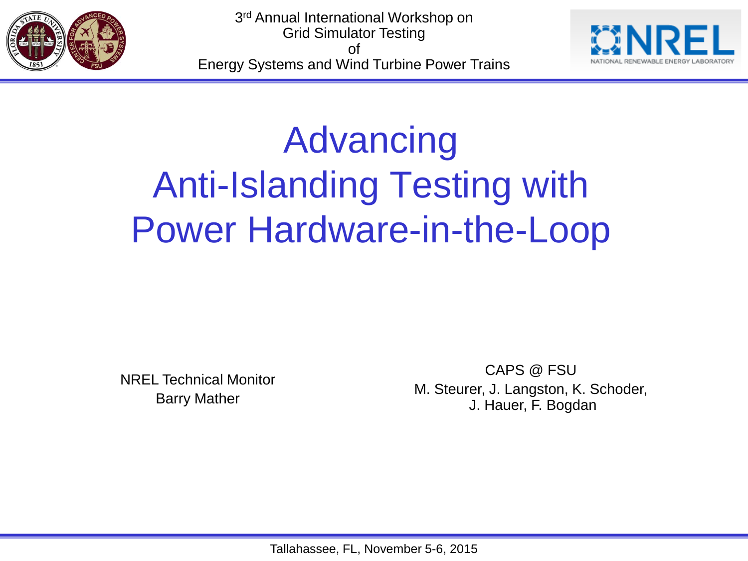



# Advancing Anti-Islanding Testing with Power Hardware-in-the-Loop

NREL Technical Monitor Barry Mather

CAPS @ FSU M. Steurer, J. Langston, K. Schoder, J. Hauer, F. Bogdan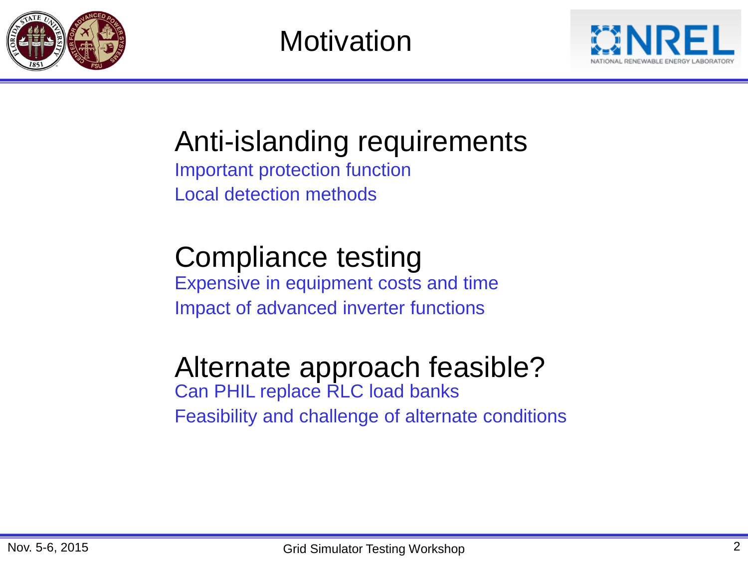

**Motivation** 



Anti-islanding requirements

Important protection function Local detection methods

# Compliance testing

Expensive in equipment costs and time Impact of advanced inverter functions

### Alternate approach feasible?

Can PHIL replace RLC load banks Feasibility and challenge of alternate conditions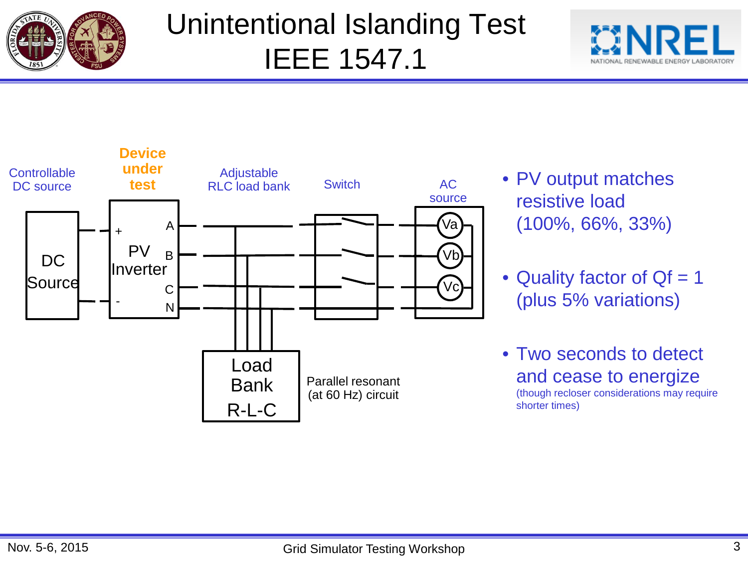

## Unintentional Islanding Test IEEE 1547.1





- resistive load (100%, 66%, 33%)
- Quality factor of  $Qf = 1$ (plus 5% variations)
- Two seconds to detect and cease to energize (though recloser considerations may require shorter times)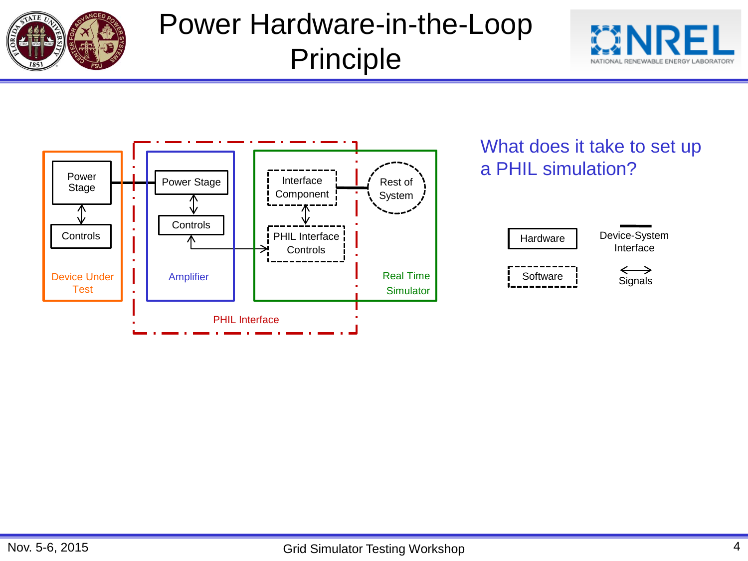

## Power Hardware-in-the-Loop Principle



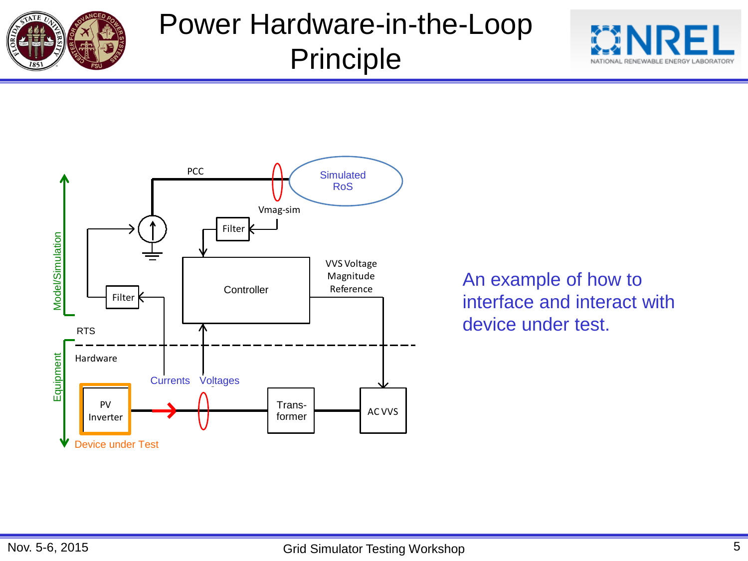

### Power Hardware-in-the-Loop Principle





An example of how to interface and interact with device under test.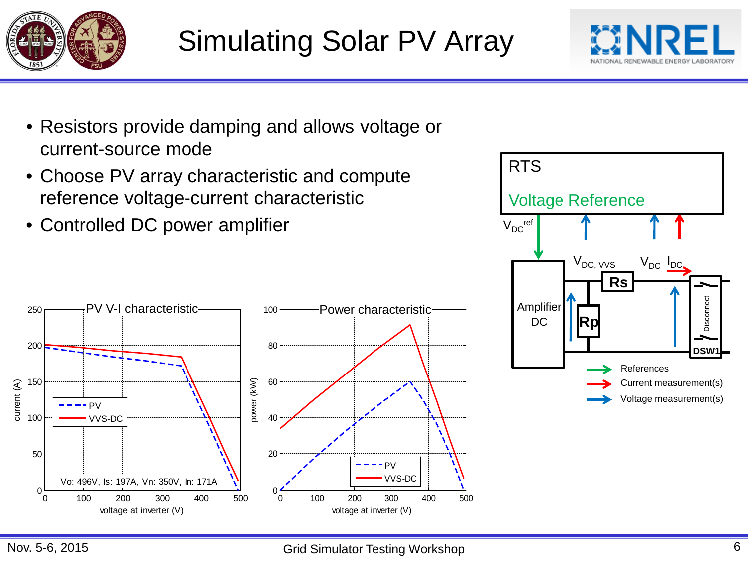



- Resistors provide damping and allows voltage or current-source mode
- Choose PV array characteristic and compute reference voltage-current characteristic
- Controlled DC power amplifier



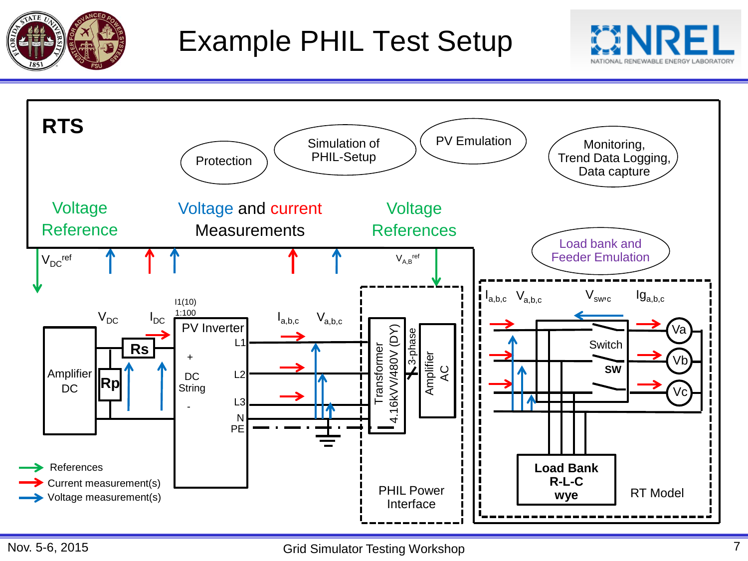



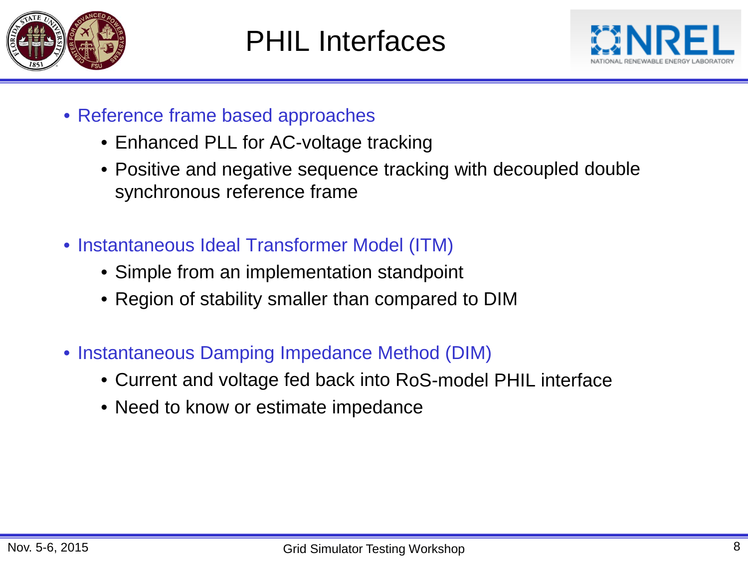



- Reference frame based approaches
	- Enhanced PLL for AC-voltage tracking
	- Positive and negative sequence tracking with decoupled double synchronous reference frame
- Instantaneous Ideal Transformer Model (ITM)
	- Simple from an implementation standpoint
	- Region of stability smaller than compared to DIM
- Instantaneous Damping Impedance Method (DIM)
	- Current and voltage fed back into RoS-model PHIL interface
	- Need to know or estimate impedance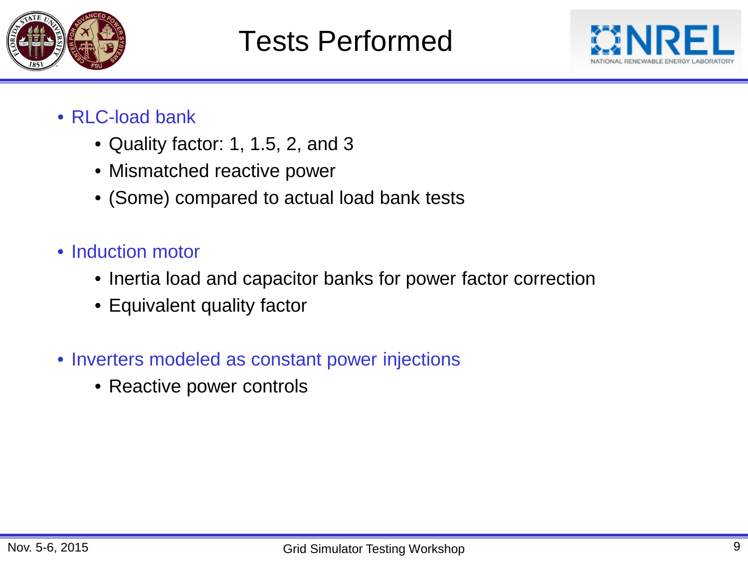



- RLC-load bank
	- Quality factor: 1, 1.5, 2, and 3
	- Mismatched reactive power
	- (Some) compared to actual load bank tests
- Induction motor
	- Inertia load and capacitor banks for power factor correction
	- Equivalent quality factor
- Inverters modeled as constant power injections
	- Reactive power controls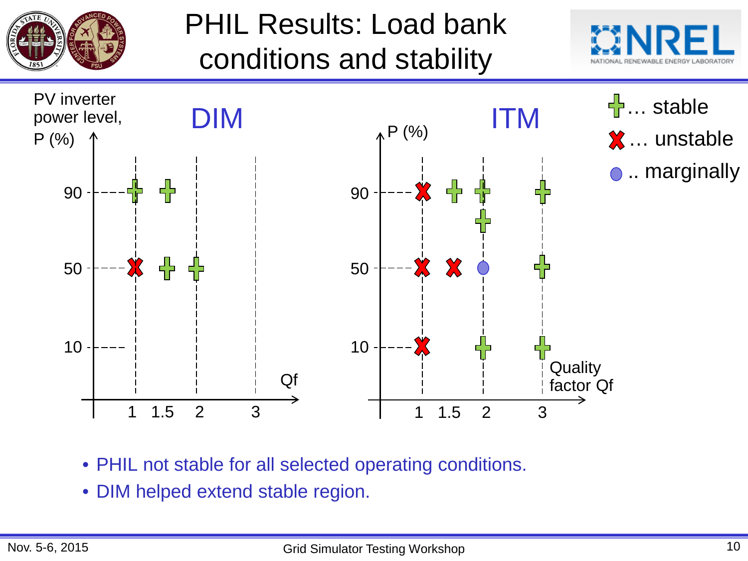

PHIL Results: Load bank conditions and stability





- PHIL not stable for all selected operating conditions.
- DIM helped extend stable region.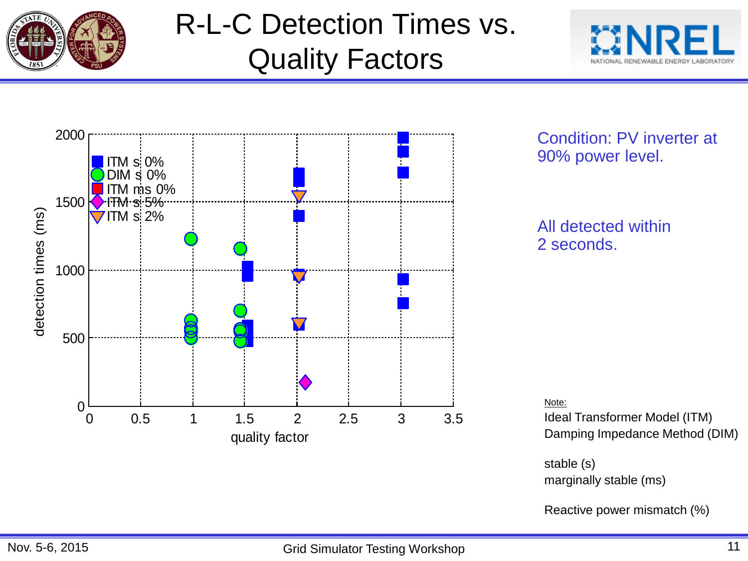

# R-L-C Detection Times vs. Quality Factors





#### Condition: PV inverter at 90% power level.

#### All detected within 2 seconds.

Note:

Ideal Transformer Model (ITM) Damping Impedance Method (DIM)

stable (s) marginally stable (ms)

Reactive power mismatch (%)

#### Nov. 5-6, 2015 **Subset Contract Contract Contract Contract Contract Contract Contract Contract Contract Contract Contract Contract Contract Contract Contract Contract Contract Contract Contract Contract Contract Contract C**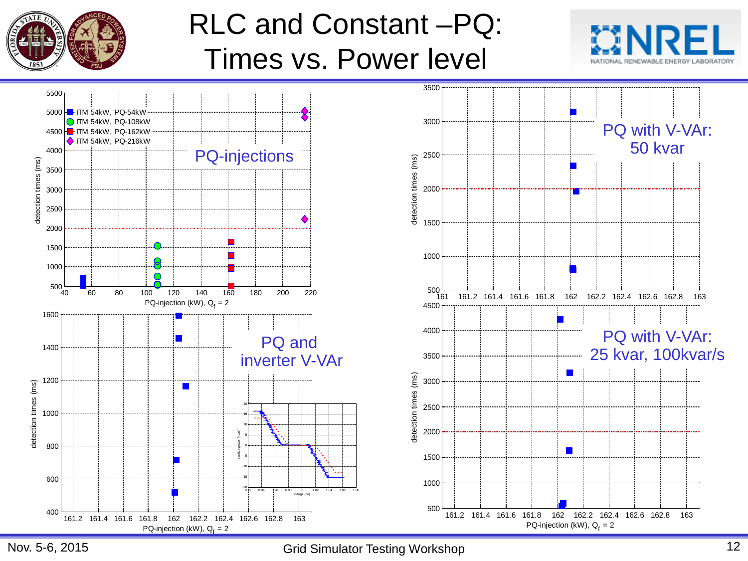

### RLC and Constant –PQ: Times vs. Power level





Nov. 5-6, 2015 **Grid Simulator Testing Workshop** 12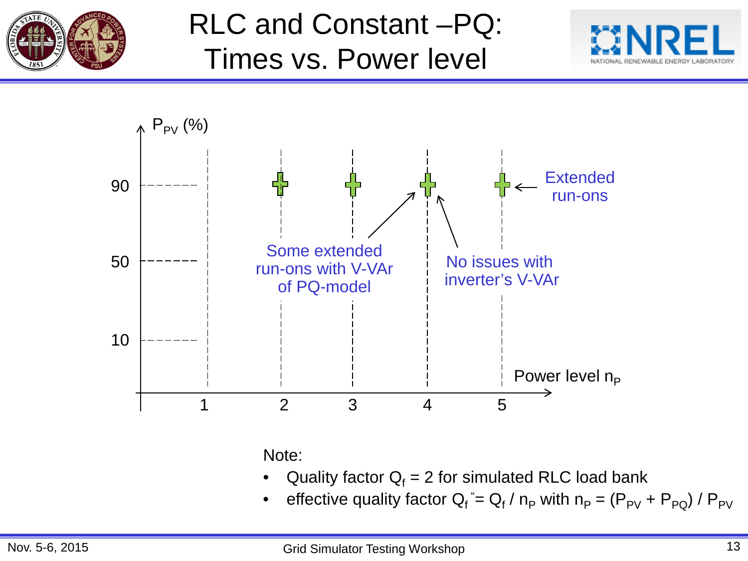

## RLC and Constant –PQ: Times vs. Power level





Note:

- Quality factor  $Q_f = 2$  for simulated RLC load bank
- effective quality factor Q<sub>f</sub>  $=$  Q<sub>f</sub> / n<sub>P</sub> with n<sub>P</sub> = (P<sub>PV</sub> + P<sub>PQ</sub>) / P<sub>PV</sub>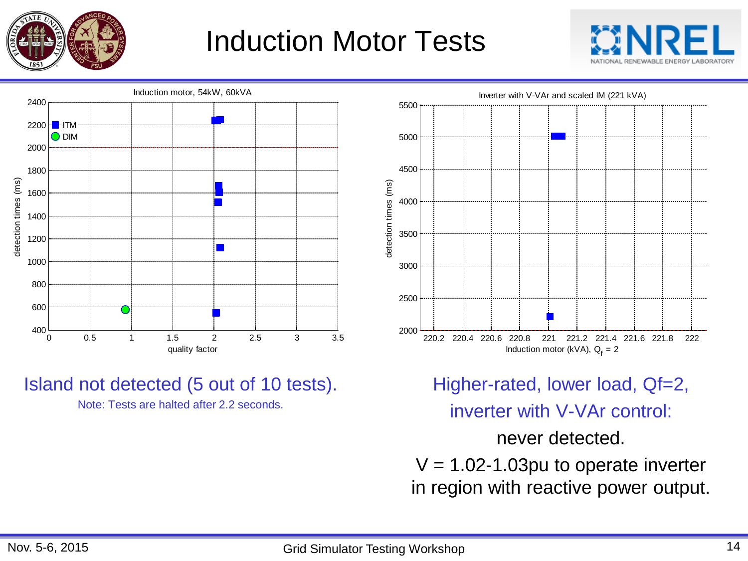

### Induction Motor Tests





#### Island not detected (5 out of 10 tests).

Note: Tests are halted after 2.2 seconds.



Higher-rated, lower load, Qf=2,

inverter with V-VAr control:

never detected.

 $V = 1.02 - 1.03$  pu to operate inverter in region with reactive power output.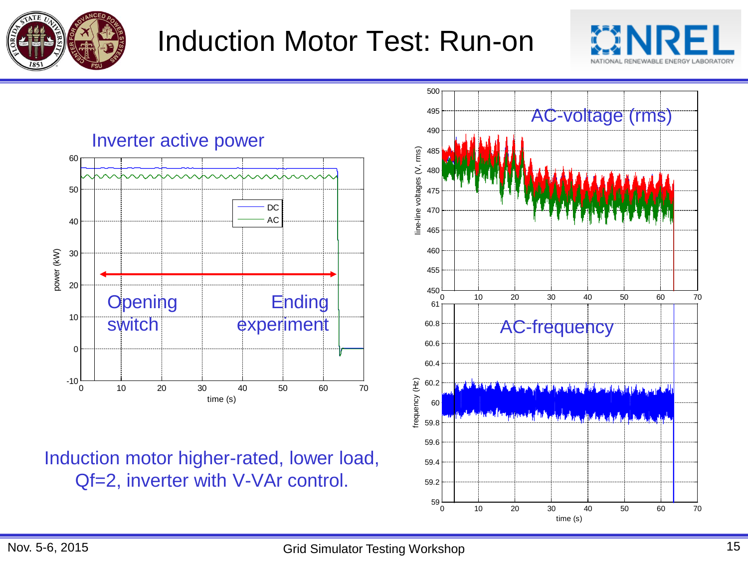

### Induction Motor Test: Run-on



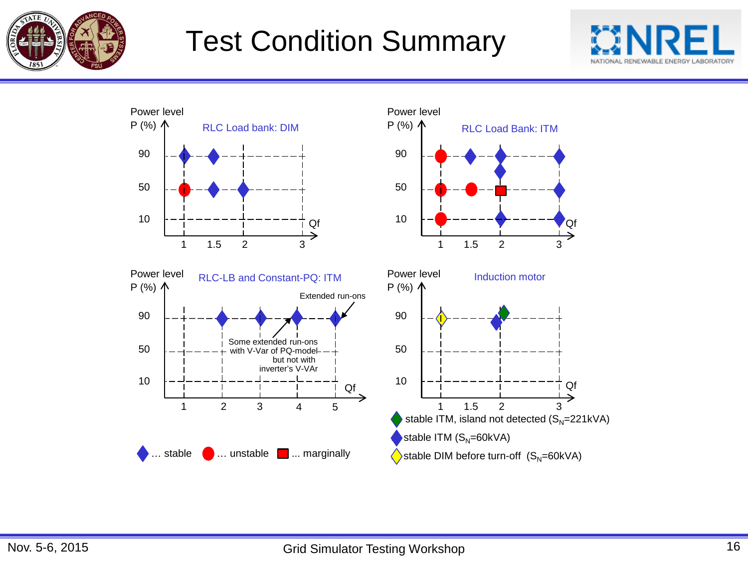

### Test Condition Summary